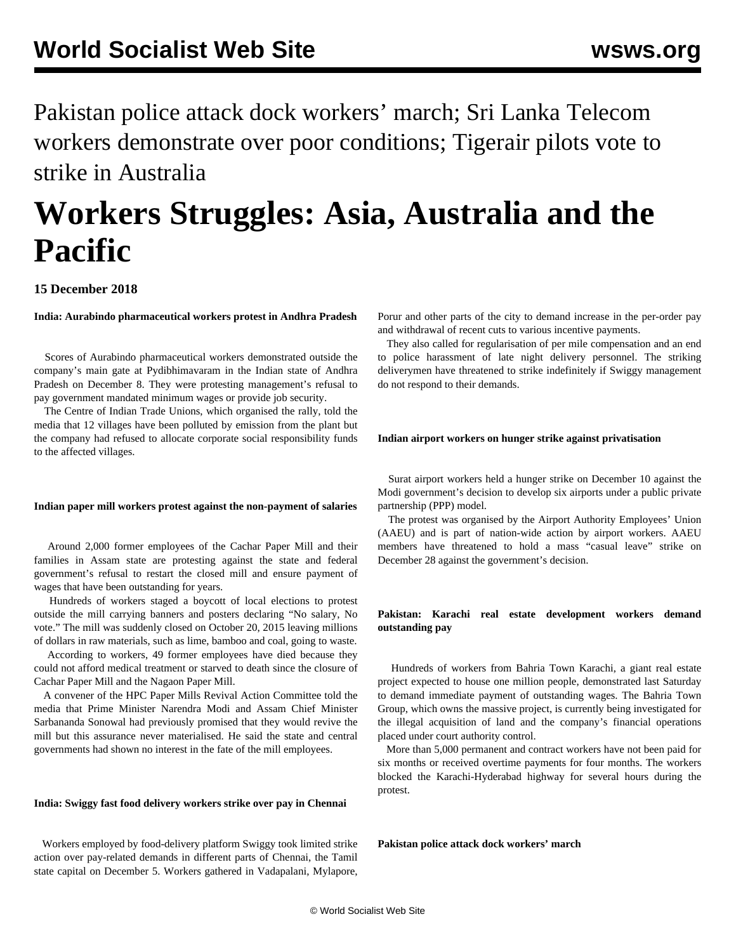Pakistan police attack dock workers' march; Sri Lanka Telecom workers demonstrate over poor conditions; Tigerair pilots vote to strike in Australia

# **Workers Struggles: Asia, Australia and the Pacific**

## **15 December 2018**

**India: Aurabindo pharmaceutical workers protest in Andhra Pradesh**

 Scores of Aurabindo pharmaceutical workers demonstrated outside the company's main gate at Pydibhimavaram in the Indian state of Andhra Pradesh on December 8. They were protesting management's refusal to pay government mandated minimum wages or provide job security.

 The Centre of Indian Trade Unions, which organised the rally, told the media that 12 villages have been polluted by emission from the plant but the company had refused to allocate corporate social responsibility funds to the affected villages.

#### **Indian paper mill workers protest against the non-payment of salaries**

 Around 2,000 former employees of the Cachar Paper Mill and their families in Assam state are protesting against the state and federal government's refusal to restart the closed mill and ensure payment of wages that have been outstanding for years.

 Hundreds of workers staged a boycott of local elections to protest outside the mill carrying banners and posters declaring "No salary, No vote." The mill was suddenly closed on October 20, 2015 leaving millions of dollars in raw materials, such as lime, bamboo and coal, going to waste.

 According to workers, 49 former employees have died because they could not afford medical treatment or starved to death since the closure of Cachar Paper Mill and the Nagaon Paper Mill.

 A convener of the HPC Paper Mills Revival Action Committee told the media that Prime Minister Narendra Modi and Assam Chief Minister Sarbananda Sonowal had previously promised that they would revive the mill but this assurance never materialised. He said the state and central governments had shown no interest in the fate of the mill employees.

#### **India: Swiggy fast food delivery workers strike over pay in Chennai**

 Workers employed by food-delivery platform Swiggy took limited strike action over pay-related demands in different parts of Chennai, the Tamil state capital on December 5. Workers gathered in Vadapalani, Mylapore, Porur and other parts of the city to demand increase in the per-order pay and withdrawal of recent cuts to various incentive payments.

 They also called for regularisation of per mile compensation and an end to police harassment of late night delivery personnel. The striking deliverymen have threatened to strike indefinitely if Swiggy management do not respond to their demands.

#### **Indian airport workers on hunger strike against privatisation**

 Surat airport workers held a hunger strike on December 10 against the Modi government's decision to develop six airports under a public private partnership (PPP) model.

 The protest was organised by the Airport Authority Employees' Union (AAEU) and is part of nation-wide action by airport workers. AAEU members have threatened to hold a mass "casual leave" strike on December 28 against the government's decision.

### **Pakistan: Karachi real estate development workers demand outstanding pay**

 Hundreds of workers from Bahria Town Karachi, a giant real estate project expected to house one million people, demonstrated last Saturday to demand immediate payment of outstanding wages. The Bahria Town Group, which owns the massive project, is currently being investigated for the illegal acquisition of land and the company's financial operations placed under court authority control.

 More than 5,000 permanent and contract workers have not been paid for six months or received overtime payments for four months. The workers blocked the Karachi-Hyderabad highway for several hours during the protest.

**Pakistan police attack dock workers' march**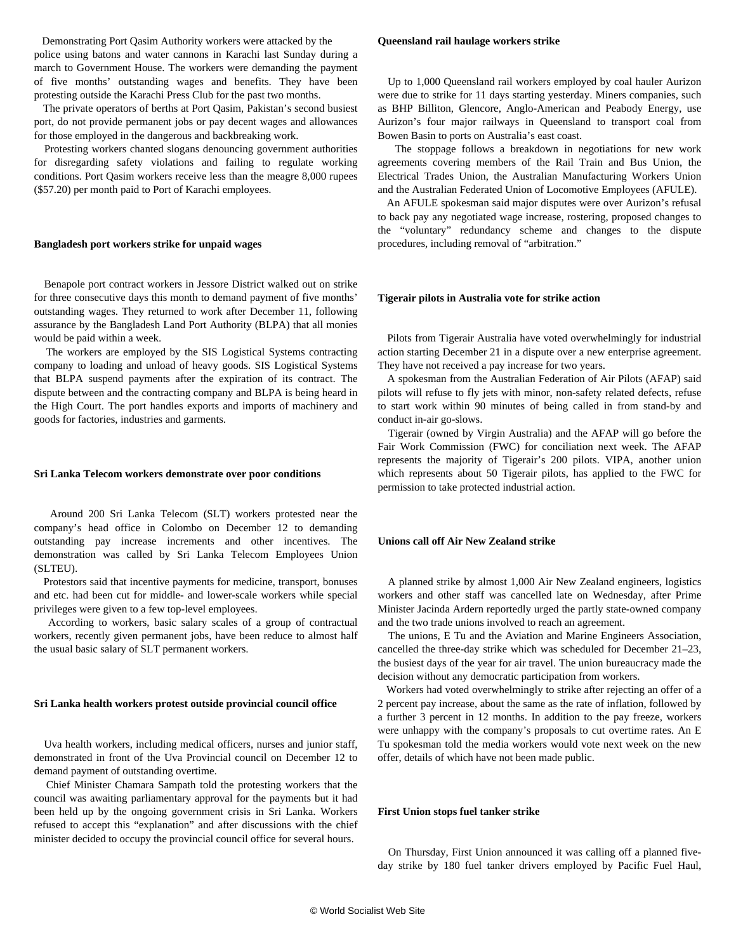Demonstrating Port Qasim Authority workers were attacked by the police using batons and water cannons in Karachi last Sunday during a march to Government House. The workers were demanding the payment of five months' outstanding wages and benefits. They have been protesting outside the Karachi Press Club for the past two months.

 The private operators of berths at Port Qasim, Pakistan's second busiest port, do not provide permanent jobs or pay decent wages and allowances for those employed in the dangerous and backbreaking work.

 Protesting workers chanted slogans denouncing government authorities for disregarding safety violations and failing to regulate working conditions. Port Qasim workers receive less than the meagre 8,000 rupees (\$57.20) per month paid to Port of Karachi employees.

#### **Bangladesh port workers strike for unpaid wages**

 Benapole port contract workers in Jessore District walked out on strike for three consecutive days this month to demand payment of five months' outstanding wages. They returned to work after December 11, following assurance by the Bangladesh Land Port Authority (BLPA) that all monies would be paid within a week.

 The workers are employed by the SIS Logistical Systems contracting company to loading and unload of heavy goods. SIS Logistical Systems that BLPA suspend payments after the expiration of its contract. The dispute between and the contracting company and BLPA is being heard in the High Court. The port handles exports and imports of machinery and goods for factories, industries and garments.

#### **Sri Lanka Telecom workers demonstrate over poor conditions**

 Around 200 Sri Lanka Telecom (SLT) workers protested near the company's head office in Colombo on December 12 to demanding outstanding pay increase increments and other incentives. The demonstration was called by Sri Lanka Telecom Employees Union (SLTEU).

 Protestors said that incentive payments for medicine, transport, bonuses and etc. had been cut for middle- and lower-scale workers while special privileges were given to a few top-level employees.

 According to workers, basic salary scales of a group of contractual workers, recently given permanent jobs, have been reduce to almost half the usual basic salary of SLT permanent workers.

#### **Sri Lanka health workers protest outside provincial council office**

 Uva health workers, including medical officers, nurses and junior staff, demonstrated in front of the Uva Provincial council on December 12 to demand payment of outstanding overtime.

 Chief Minister Chamara Sampath told the protesting workers that the council was awaiting parliamentary approval for the payments but it had been held up by the ongoing government crisis in Sri Lanka. Workers refused to accept this "explanation" and after discussions with the chief minister decided to occupy the provincial council office for several hours.

#### **Queensland rail haulage workers strike**

 Up to 1,000 Queensland rail workers employed by coal hauler Aurizon were due to strike for 11 days starting yesterday. Miners companies, such as BHP Billiton, Glencore, Anglo-American and Peabody Energy, use Aurizon's four major railways in Queensland to transport coal from Bowen Basin to ports on Australia's east coast.

 The stoppage follows a breakdown in negotiations for new work agreements covering members of the Rail Train and Bus Union, the Electrical Trades Union, the Australian Manufacturing Workers Union and the Australian Federated Union of Locomotive Employees (AFULE).

 An AFULE spokesman said major disputes were over Aurizon's refusal to back pay any negotiated wage increase, rostering, proposed changes to the "voluntary" redundancy scheme and changes to the dispute procedures, including removal of "arbitration."

#### **Tigerair pilots in Australia vote for strike action**

 Pilots from Tigerair Australia have voted overwhelmingly for industrial action starting December 21 in a dispute over a new enterprise agreement. They have not received a pay increase for two years.

 A spokesman from the Australian Federation of Air Pilots (AFAP) said pilots will refuse to fly jets with minor, non-safety related defects, refuse to start work within 90 minutes of being called in from stand-by and conduct in-air go-slows.

 Tigerair (owned by Virgin Australia) and the AFAP will go before the Fair Work Commission (FWC) for conciliation next week. The AFAP represents the majority of Tigerair's 200 pilots. VIPA, another union which represents about 50 Tigerair pilots, has applied to the FWC for permission to take protected industrial action.

#### **Unions call off Air New Zealand strike**

 A planned strike by almost 1,000 Air New Zealand engineers, logistics workers and other staff was cancelled late on Wednesday, after Prime Minister Jacinda Ardern reportedly urged the partly state-owned company and the two trade unions involved to reach an agreement.

 The unions, E Tu and the Aviation and Marine Engineers Association, cancelled the three-day strike which was scheduled for December 21–23, the busiest days of the year for air travel. The union bureaucracy made the decision without any democratic participation from workers.

 Workers had voted overwhelmingly to strike after rejecting an offer of a 2 percent pay increase, about the same as the rate of inflation, followed by a further 3 percent in 12 months. In addition to the pay freeze, workers were unhappy with the company's proposals to cut overtime rates. An E Tu spokesman told the media workers would vote next week on the new offer, details of which have not been made public.

#### **First Union stops fuel tanker strike**

 On Thursday, First Union announced it was calling off a planned fiveday strike by 180 fuel tanker drivers employed by Pacific Fuel Haul,